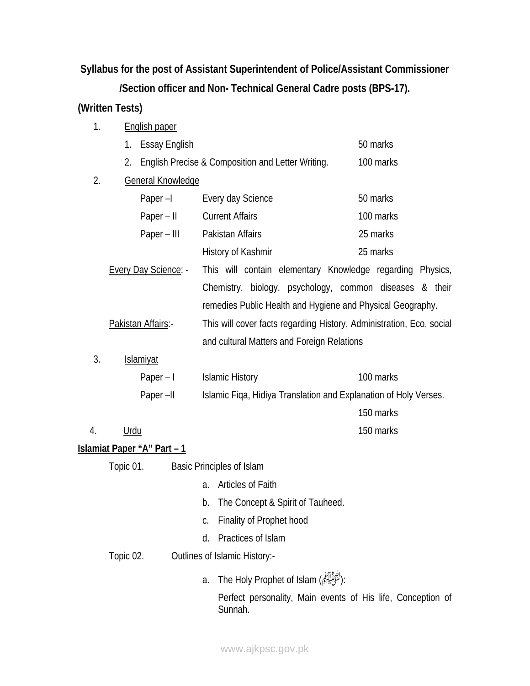**Syllabus for the post of Assistant Superintendent of Police/Assistant Commissioner** 

**/Section officer and Non- Technical General Cadre posts (BPS-17).** 

## **(Written Tests)**

| 1.                                  | <b>English paper</b>                |                                                            |                                                                      |  |
|-------------------------------------|-------------------------------------|------------------------------------------------------------|----------------------------------------------------------------------|--|
|                                     | <b>Essay English</b><br>1.          |                                                            | 50 marks                                                             |  |
|                                     | 2.                                  | English Precise & Composition and Letter Writing.          | 100 marks                                                            |  |
| 2.                                  | General Knowledge                   |                                                            |                                                                      |  |
|                                     | Paper $-I$                          | Every day Science                                          | 50 marks                                                             |  |
|                                     | $Paper - II$                        | <b>Current Affairs</b>                                     | 100 marks                                                            |  |
|                                     | Paper – III                         | Pakistan Affairs                                           | 25 marks                                                             |  |
|                                     |                                     | History of Kashmir                                         | 25 marks                                                             |  |
|                                     | <b>Every Day Science: -</b>         | This will contain elementary Knowledge regarding Physics,  |                                                                      |  |
|                                     |                                     | Chemistry, biology, psychology, common diseases & their    |                                                                      |  |
|                                     |                                     | remedies Public Health and Hygiene and Physical Geography. |                                                                      |  |
| Pakistan Affairs:-                  |                                     |                                                            | This will cover facts regarding History, Administration, Eco, social |  |
|                                     |                                     |                                                            | and cultural Matters and Foreign Relations                           |  |
| 3.                                  | <b>Islamiyat</b>                    |                                                            |                                                                      |  |
|                                     | Paper $-1$                          | <b>Islamic History</b>                                     | 100 marks                                                            |  |
| Paper-II                            |                                     |                                                            | Islamic Fiqa, Hidiya Translation and Explanation of Holy Verses.     |  |
|                                     |                                     |                                                            | 150 marks                                                            |  |
| 4.                                  | <u>Urdu</u>                         |                                                            | 150 marks                                                            |  |
|                                     | <u> Islamiat Paper "A" Part – 1</u> |                                                            |                                                                      |  |
| Topic 01. Basic Principles of Islam |                                     |                                                            |                                                                      |  |
|                                     |                                     | a. Articles of Faith                                       |                                                                      |  |
|                                     |                                     | b. The Concept & Spirit of Tauheed.                        |                                                                      |  |
|                                     |                                     | Finality of Prophet hood<br>C.                             |                                                                      |  |
|                                     |                                     | Practices of Islam<br>d.                                   |                                                                      |  |
| Topic 02.                           |                                     | Outlines of Islamic History:-                              |                                                                      |  |
|                                     |                                     | :(يَسْتَجْلِيَهِنَّمِ) The Holy Prophet of Islam<br>a.     |                                                                      |  |

Perfect personality, Main events of His life, Conception of Sunnah.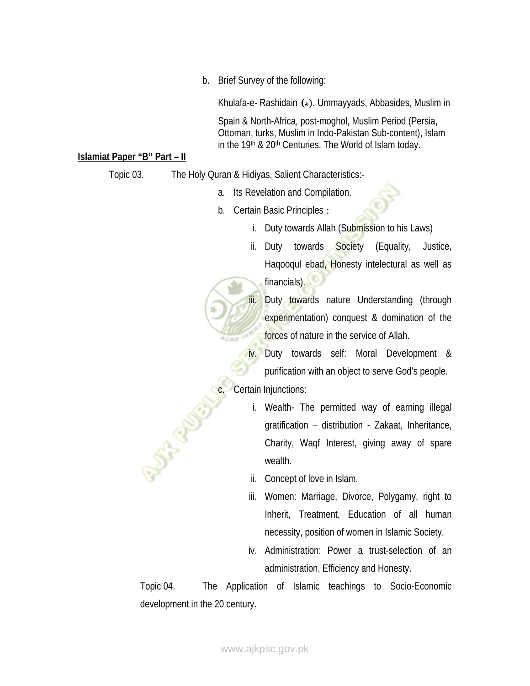b. Brief Survey of the following:

Khulafa-e- Rashidain (\*), Ummayyads, Abbasides, Muslim in

Spain & North-Africa, post-moghol, Muslim Period (Persia, Ottoman, turks, Muslim in Indo-Pakistan Sub-content), Islam in the 19<sup>th</sup> & 20<sup>th</sup> Centuries. The World of Islam today.

## **Islamiat Paper "B" Part – II**

Topic 03. The Holy Quran & Hidiyas, Salient Characteristics:-

- a. Its Revelation and Compilation.
- b. Certain Basic Principles :
	- i. Duty towards Allah (Submission to his Laws)
	- ii. Duty towards Society (Equality, Justice, Haqooqul ebad, Honesty intelectural as well as financials).

iii. Duty towards nature Understanding (through experimentation) conquest & domination of the forces of nature in the service of Allah.

iv. Duty towards self: Moral Development & purification with an object to serve God's people.

Certain Injunctions:

À

SA

- i. Wealth- The permitted way of earning illegal gratification – distribution - Zakaat, Inheritance, Charity, Waqf Interest, giving away of spare wealth.
- ii. Concept of love in Islam.
- iii. Women: Marriage, Divorce, Polygamy, right to Inherit, Treatment, Education of all human necessity, position of women in Islamic Society.
- iv. Administration: Power a trust-selection of an administration, Efficiency and Honesty.

Topic 04. The Application of Islamic teachings to Socio-Economic development in the 20 century.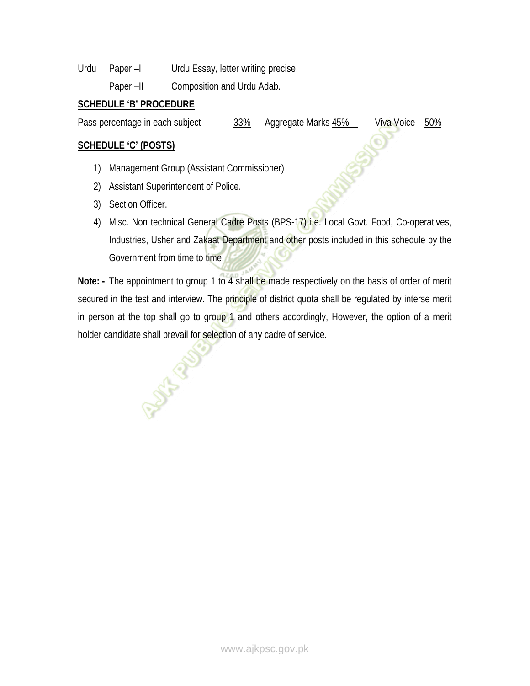Urdu Paper –I Urdu Essay, letter writing precise,

Paper –II Composition and Urdu Adab.

## **SCHEDULE 'B' PROCEDURE**

Pass percentage in each subject  $\frac{33\%}{9}$  Aggregate Marks  $45\%$  Viva Voice 50%

## **SCHEDULE 'C' (POSTS)**

- 1) Management Group (Assistant Commissioner)
- 2) Assistant Superintendent of Police.

**SIAR** 

- 3) Section Officer.
- 4) Misc. Non technical General Cadre Posts (BPS-17) i.e. Local Govt. Food, Co-operatives, Industries, Usher and Zakaat Department and other posts included in this schedule by the Government from time to time.

**Note: -** The appointment to group 1 to 4 shall be made respectively on the basis of order of merit secured in the test and interview. The principle of district quota shall be regulated by interse merit in person at the top shall go to group 1 and others accordingly, However, the option of a merit holder candidate shall prevail for selection of any cadre of service.